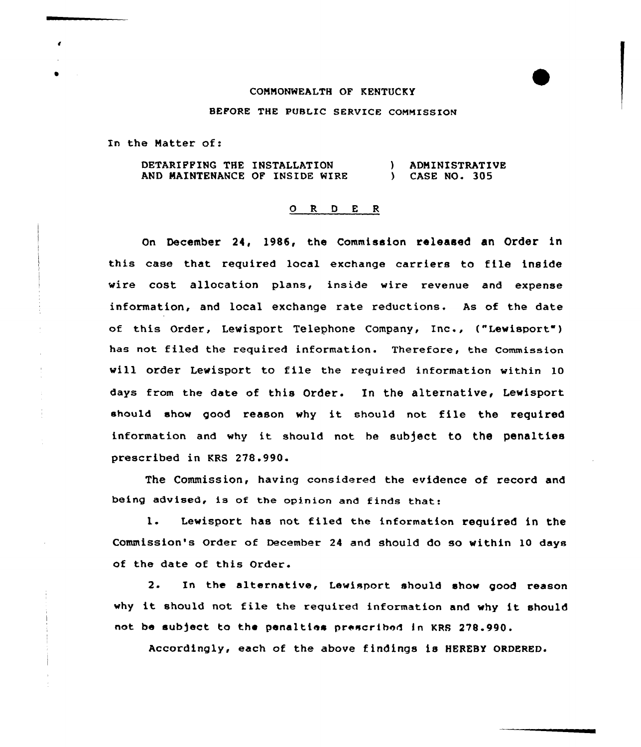## COMMONWEALTH OF KENTUCKY

## BEFORE THE PUBLIC SERVICE COMMISSION

In the Matter of:

DETARIFFING THE INSTALLATION AND MAINTENANCE OF INSIDE WIRE ) ADMINISTRATIVE ) CASE NO. 305

## 0 R <sup>D</sup> E <sup>R</sup>

On December 24, 1986, the Commission released an Order in this case that required local exchange carriers to file insident vire cost allocation plans, inside wire revenue and expense information, and local exchange rate reductions. As of the date of this Order, Lewisport Telephone Company, Inc., ("Lewisport") has not filed the required information. Therefore, the Commission vill order Levisport to file the required information within 10 days from the date of this Order. In the alternative, Levisport should show good reason why it should not file the required information and why it should not be subject to the penalties prescribed in KRS 278.990.

The Commission, having considered the evidence of record and being advised, is of the opinion and finds that:

1. Lewisport has not filed the information required in the Commission's Order of December 24 and should do so within 10 days of the date of this Order.

2. In the alternative, Lewksport should show good reason why it should not file the required information and vhy it should not be subject to the penalties prescribed in KRS 278.990.

Accordingly, each of the above findings is HEREBY ORDERED.